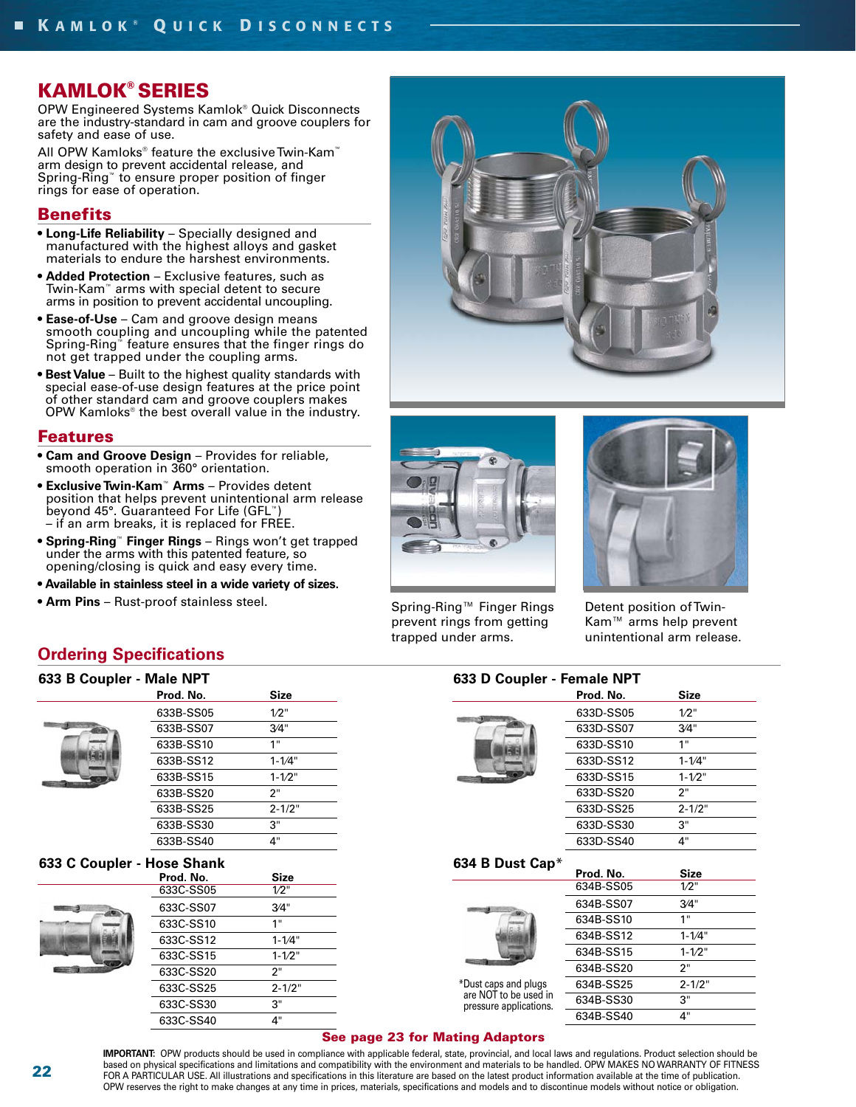## **KAMLOK® SERIES**

OPW Engineered Systems Kamlok® Quick Disconnects are the industry-standard in cam and groove couplers for safety and ease of use.

All OPW Kamloks<sup>®</sup> feature the exclusive Twin-Kam<sup>™</sup> arm design to prevent accidental release, and Spring-Ring™ to ensure proper position of finger rings for ease of operation.

### **Benefits**

- **Long-Life Reliability** Specially designed and manufactured with the highest alloys and gasket materials to endure the harshest environments.
- **Added Protection** Exclusive features, such as Twin-Kam™ arms with special detent to secure arms in position to prevent accidental uncoupling.
- **Ease-of-Use** Cam and groove design means smooth coupling and uncoupling while the patented Spring-Ring<sup>™</sup> feature ensures that the finger rings do not get trapped under the coupling arms.
- **Best Value** Built to the highest quality standards with special ease-of-use design features at the price point of other standard cam and groove couplers makes OPW Kamloks® the best overall value in the industry.

#### **Features**

- **Cam and Groove Design** Provides for reliable, smooth operation in 360° orientation.
- **Exclusive Twin-Kam**™ **Arms** Provides detent position that helps prevent unintentional arm release beyond 45°. Guaranteed For Life (GFL™) – if an arm breaks, it is replaced for FREE.
- **Spring-Ring**™ **Finger Rings** Rings won't get trapped under the arms with this patented feature, so opening/closing is quick and easy every time.
- **Available in stainless steel in a wide variety of sizes.**
- **Arm Pins** Rust-proof stainless steel.





Spring-Ring™ Finger Rings prevent rings from getting trapped under arms.



Detent position of Twin-Kam™ arms help prevent unintentional arm release.

### **Ordering Specifications**

| 633 B Coupler - Male NPT |             |
|--------------------------|-------------|
| Prod. No.                | <b>Size</b> |
| 633B-SS05                | $1/2$ "     |
| 633B-SS07                | 3/4"        |
| 633B-SS10                | 1"          |
| 633B-SS12                | $1 - 1/4"$  |
| 633B-SS15                | $1 - 1/2$ " |
| 633B-SS20                | 2"          |
| 633B-SS25                | $2 - 1/2"$  |
| 633B-SS30                | 3"          |

#### **633 C Coupler - Hose Shank**

| Prod. No. | <b>Size</b> |
|-----------|-------------|
| 633C-SS05 | 1/2"        |
| 633C-SS07 | 3/4"        |
| 633C-SS10 | 1"          |
| 633C-SS12 | $1 - 1/4"$  |
| 633C-SS15 | $1 - 1/2"$  |
| 633C-SS20 | 2"          |
| 633C-SS25 | $2 - 1/2"$  |
| 633C-SS30 | 3"          |
| 633C-SS40 | 4"          |

633B-SS40 4"

|                                                 | Prod. No. | <b>Size</b> |
|-------------------------------------------------|-----------|-------------|
|                                                 | 633D-SS05 | $1/2$ "     |
|                                                 | 633D-SS07 | 3/4"        |
|                                                 | 633D-SS10 | 1"          |
|                                                 | 633D-SS12 | $1 - 1/4"$  |
|                                                 | 633D-SS15 | $1 - 1/2"$  |
|                                                 | 633D-SS20 | 2"          |
|                                                 | 633D-SS25 | $2 - 1/2"$  |
|                                                 | 633D-SS30 | З"          |
|                                                 | 633D-SS40 | 4"          |
| 634 B Dust Cap*                                 |           |             |
|                                                 | Prod. No. | <b>Size</b> |
|                                                 | 634B-SS05 | $1/2$ "     |
|                                                 | 634B-SS07 | 3/4"        |
|                                                 | 634B-SS10 | 1"          |
|                                                 | 634B-SS12 | $1 - 1/4"$  |
|                                                 | 634B-SS15 | $1 - 1/2$ " |
|                                                 | 634B-SS20 | 2"          |
| *Dust caps and plugs                            | 634B-SS25 | $2 - 1/2"$  |
| are NOT to be used in<br>pressure applications. | 634B-SS30 | 3"          |
|                                                 | 634B-SS40 | 4"          |

**IMPORTANT:** OPW products should be used in compliance with applicable federal, state, provincial, and local laws and regulations. Product selection should be based on physical specifications and limitations and compatibility with the environment and materials to be handled. OPW MAKES NO WARRANTY OF FITNESS FOR A PARTICULAR USE. All illustrations and specifications in this literature are based on the latest product information available at the time of publication. OPW reserves the right to make changes at any time in prices, materials, specifications and models and to discontinue models without notice or obligation.